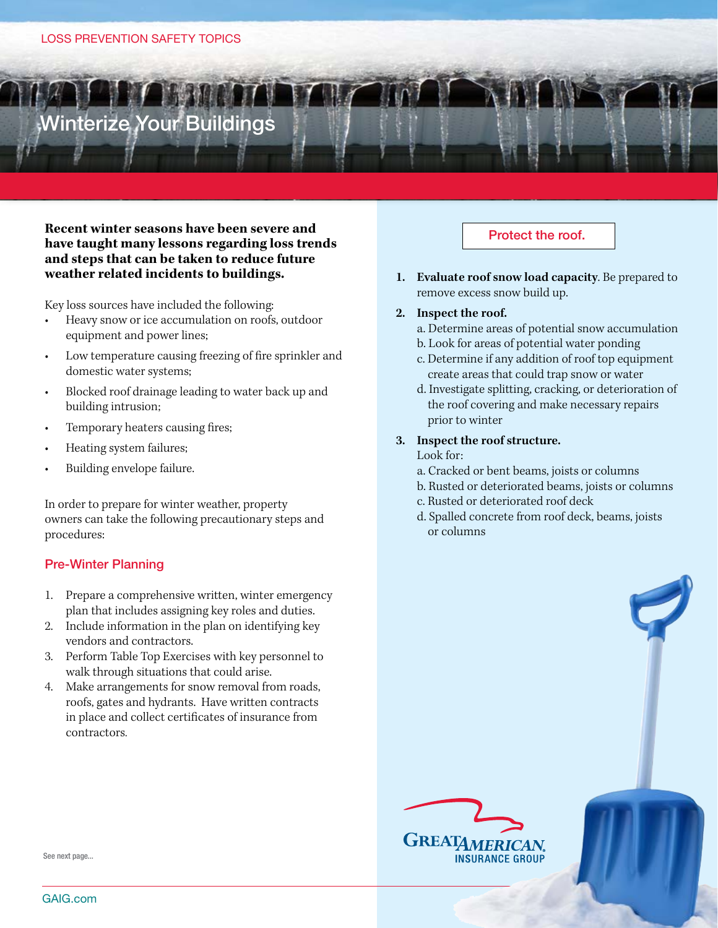# Winterize Your Buildings

## **Recent winter seasons have been severe and have taught many lessons regarding loss trends and steps that can be taken to reduce future weather related incidents to buildings.**

Key loss sources have included the following:

- Heavy snow or ice accumulation on roofs, outdoor equipment and power lines;
- Low temperature causing freezing of fire sprinkler and domestic water systems;
- Blocked roof drainage leading to water back up and building intrusion;
- Temporary heaters causing fires;
- Heating system failures;
- Building envelope failure.

In order to prepare for winter weather, property owners can take the following precautionary steps and procedures:

# Pre-Winter Planning

- 1. Prepare a comprehensive written, winter emergency plan that includes assigning key roles and duties.
- 2. Include information in the plan on identifying key vendors and contractors.
- 3. Perform Table Top Exercises with key personnel to walk through situations that could arise.
- 4. Make arrangements for snow removal from roads, roofs, gates and hydrants. Have written contracts in place and collect certificates of insurance from contractors.

# Protect the roof.

**1. Evaluate roof snow load capacity**. Be prepared to remove excess snow build up.

## **2. Inspect the roof.**

- a. Determine areas of potential snow accumulation
- b. Look for areas of potential water ponding
- c. Determine if any addition of roof top equipment create areas that could trap snow or water
- d. Investigate splitting, cracking, or deterioration of the roof covering and make necessary repairs prior to winter
- **3. Inspect the roof structure.**

#### Look for:

- a. Cracked or bent beams, joists or columns
- b. Rusted or deteriorated beams, joists or columns
- c. Rusted or deteriorated roof deck
- d. Spalled concrete from roof deck, beams, joists or columns



See next page...